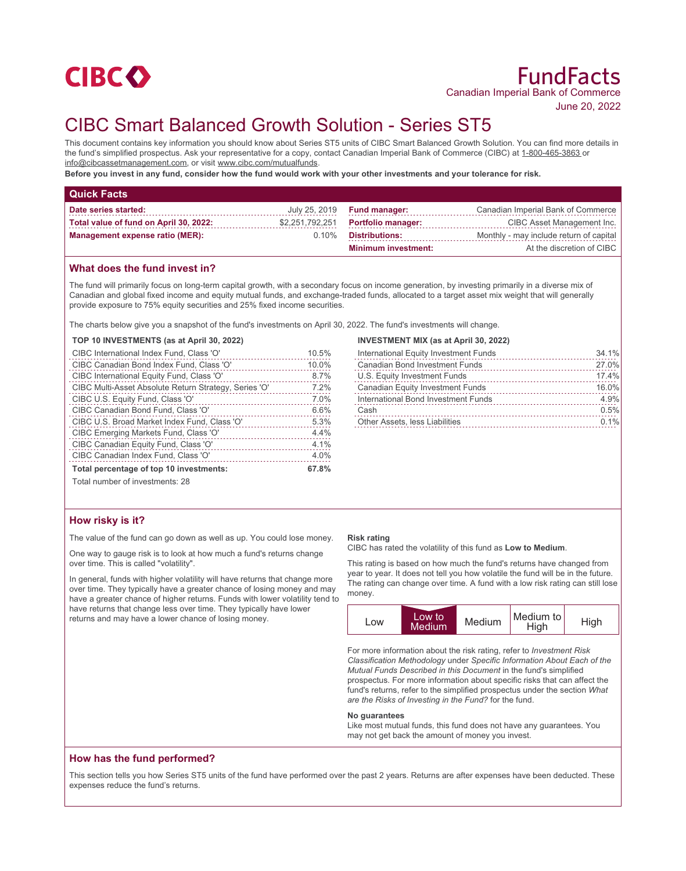

June 20, 2022

# CIBC Smart Balanced Growth Solution - Series ST5

This document contains key information you should know about Series ST5 units of CIBC Smart Balanced Growth Solution. You can find more details in the fund's simplified prospectus. Ask your representative for a copy, contact Canadian Imperial Bank of Commerce (CIBC) at 1-800-465-3863 or info@cibcassetmanagement.com, or visit www.cibc.com/mutualfunds.

**Before you invest in any fund, consider how the fund would work with your other investments and your tolerance for risk.**

| <b>Quick Facts</b>                     |                 |                            |                                         |
|----------------------------------------|-----------------|----------------------------|-----------------------------------------|
| Date series started:                   | July 25, 2019   | <b>Fund manager:</b>       | Canadian Imperial Bank of Commerce      |
| Total value of fund on April 30, 2022: | \$2,251,792,251 | <b>Portfolio manager:</b>  | CIBC Asset Management Inc.              |
| <b>Management expense ratio (MER):</b> | $0.10\%$        | <b>Distributions:</b>      | Monthly - may include return of capital |
|                                        |                 | <b>Minimum investment:</b> | At the discretion of CIBC               |

### **What does the fund invest in?**

The fund will primarily focus on long-term capital growth, with a secondary focus on income generation, by investing primarily in a diverse mix of Canadian and global fixed income and equity mutual funds, and exchange-traded funds, allocated to a target asset mix weight that will generally provide exposure to 75% equity securities and 25% fixed income securities.

The charts below give you a snapshot of the fund's investments on April 30, 2022. The fund's investments will change.

#### **TOP 10 INVESTMENTS (as at April 30, 2022)**

| CIBC International Index Fund, Class 'O'              | 10.5% |
|-------------------------------------------------------|-------|
| CIBC Canadian Bond Index Fund, Class 'O'              | 10.0% |
| CIBC International Equity Fund, Class 'O'             | 8.7%  |
| CIBC Multi-Asset Absolute Return Strategy, Series 'O' | 7.2%  |
| CIBC U.S. Equity Fund, Class 'O'                      | 7.0%  |
| CIBC Canadian Bond Fund, Class 'O'                    | 6.6%  |
| CIBC U.S. Broad Market Index Fund, Class 'O'          | 5.3%  |
| CIBC Emerging Markets Fund, Class 'O'                 | 4.4%  |
| CIBC Canadian Equity Fund, Class 'O'                  | 4.1%  |
| CIBC Canadian Index Fund, Class 'O'                   | 4.0%  |
| Total percentage of top 10 investments:               | 67.8% |
| Total number of investments: 28                       |       |

# **INVESTMENT MIX (as at April 30, 2022)**

| International Equity Investment Funds | 34.1% |
|---------------------------------------|-------|
| <b>Canadian Bond Investment Funds</b> | 27.0% |
| U.S. Equity Investment Funds          | 17.4% |
| Canadian Equity Investment Funds      | 16.0% |
| International Bond Investment Funds   | 4.9%  |
| Cash                                  | 0.5%  |
| Other Assets, less Liabilities        | 0.1%  |

# **How risky is it?**

The value of the fund can go down as well as up. You could lose money.

One way to gauge risk is to look at how much a fund's returns change over time. This is called "volatility".

In general, funds with higher volatility will have returns that change more over time. They typically have a greater chance of losing money and may have a greater chance of higher returns. Funds with lower volatility tend to have returns that change less over time. They typically have lower returns and may have a lower chance of losing money.

#### **Risk rating**

CIBC has rated the volatility of this fund as **Low to Medium**.

This rating is based on how much the fund's returns have changed from year to year. It does not tell you how volatile the fund will be in the future. The rating can change over time. A fund with a low risk rating can still lose money.



For more information about the risk rating, refer to *Investment Risk Classification Methodology* under *Specific Information About Each of the Mutual Funds Described in this Document* in the fund's simplified prospectus. For more information about specific risks that can affect the fund's returns, refer to the simplified prospectus under the section *What are the Risks of Investing in the Fund?* for the fund.

#### **No guarantees**

Like most mutual funds, this fund does not have any guarantees. You may not get back the amount of money you invest.

### **How has the fund performed?**

This section tells you how Series ST5 units of the fund have performed over the past 2 years. Returns are after expenses have been deducted. These expenses reduce the fund's returns.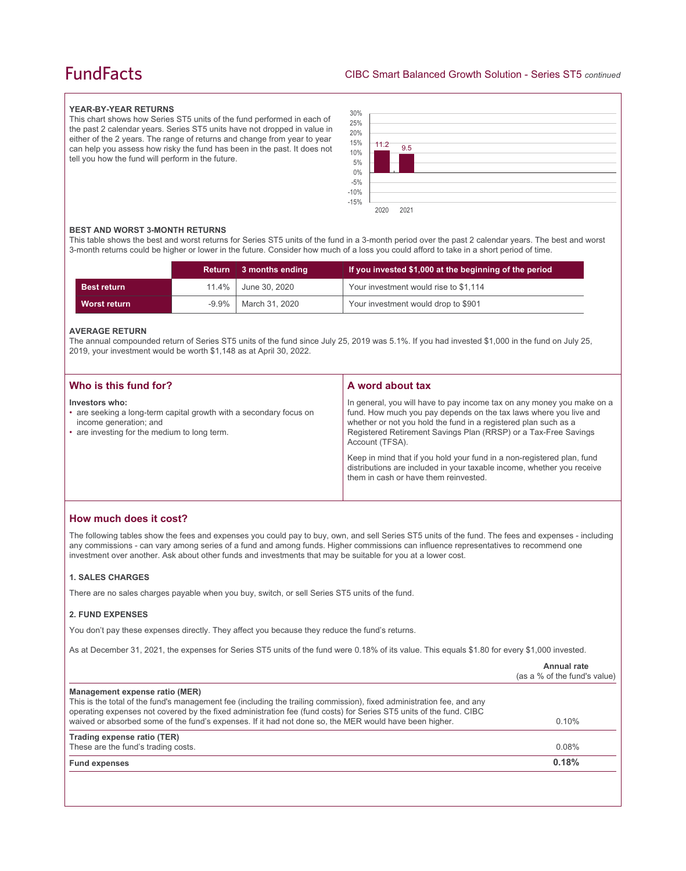# **FundFacts**

#### **YEAR-BY-YEAR RETURNS**

This chart shows how Series ST5 units of the fund performed in each of the past 2 calendar years. Series ST5 units have not dropped in value in either of the 2 years. The range of returns and change from year to year can help you assess how risky the fund has been in the past. It does not tell you how the fund will perform in the future.



#### **BEST AND WORST 3-MONTH RETURNS**

This table shows the best and worst returns for Series ST5 units of the fund in a 3-month period over the past 2 calendar years. The best and worst 3-month returns could be higher or lower in the future. Consider how much of a loss you could afford to take in a short period of time.

|                    |          | Return 3 months ending | If you invested \$1,000 at the beginning of the period |
|--------------------|----------|------------------------|--------------------------------------------------------|
| <b>Best return</b> | 11.4%    | June 30, 2020          | Your investment would rise to \$1,114                  |
| Worst return       | $-9.9\%$ | March 31, 2020         | Your investment would drop to \$901                    |

#### **AVERAGE RETURN**

The annual compounded return of Series ST5 units of the fund since July 25, 2019 was 5.1%. If you had invested \$1,000 in the fund on July 25, 2019, your investment would be worth \$1,148 as at April 30, 2022.

| Who is this fund for?                                                                                                                                          | A word about tax                                                                                                                                                                                                                                                                                     |
|----------------------------------------------------------------------------------------------------------------------------------------------------------------|------------------------------------------------------------------------------------------------------------------------------------------------------------------------------------------------------------------------------------------------------------------------------------------------------|
| Investors who:<br>• are seeking a long-term capital growth with a secondary focus on<br>income generation; and<br>• are investing for the medium to long term. | In general, you will have to pay income tax on any money you make on a<br>fund. How much you pay depends on the tax laws where you live and<br>whether or not you hold the fund in a registered plan such as a<br>Registered Retirement Savings Plan (RRSP) or a Tax-Free Savings<br>Account (TFSA). |
|                                                                                                                                                                | Keep in mind that if you hold your fund in a non-registered plan, fund<br>distributions are included in your taxable income, whether you receive<br>them in cash or have them reinvested.                                                                                                            |

## **How much does it cost?**

The following tables show the fees and expenses you could pay to buy, own, and sell Series ST5 units of the fund. The fees and expenses - including any commissions - can vary among series of a fund and among funds. Higher commissions can influence representatives to recommend one investment over another. Ask about other funds and investments that may be suitable for you at a lower cost.

#### **1. SALES CHARGES**

There are no sales charges payable when you buy, switch, or sell Series ST5 units of the fund.

#### **2. FUND EXPENSES**

You don't pay these expenses directly. They affect you because they reduce the fund's returns.

As at December 31, 2021, the expenses for Series ST5 units of the fund were 0.18% of its value. This equals \$1.80 for every \$1,000 invested.

|                                                                                                                                                                                                                                                                                                                                                                                         | Annual rate<br>(as a % of the fund's value) |
|-----------------------------------------------------------------------------------------------------------------------------------------------------------------------------------------------------------------------------------------------------------------------------------------------------------------------------------------------------------------------------------------|---------------------------------------------|
| Management expense ratio (MER)<br>This is the total of the fund's management fee (including the trailing commission), fixed administration fee, and any<br>operating expenses not covered by the fixed administration fee (fund costs) for Series ST5 units of the fund. CIBC<br>waived or absorbed some of the fund's expenses. If it had not done so, the MER would have been higher. | $0.10\%$                                    |
| Trading expense ratio (TER)<br>These are the fund's trading costs.                                                                                                                                                                                                                                                                                                                      | 0.08%                                       |
| <b>Fund expenses</b>                                                                                                                                                                                                                                                                                                                                                                    | 0.18%                                       |